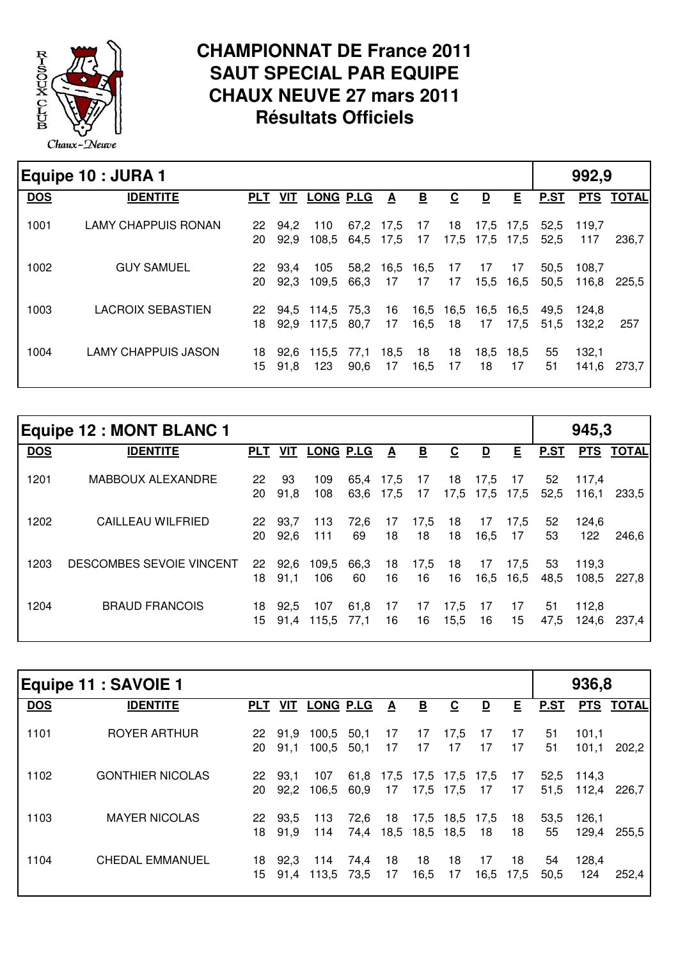

## **CHAMPIONNAT DE France 2011 SAUT SPECIAL PAR EQUIPE CHAUX NEUVE 27 mars 2011 Résultats Officiels**

|            | Equipe 10 : JURA 1         |            |              |                          |                |                         |                         |                          |                         |                 |              | 992,9          |           |
|------------|----------------------------|------------|--------------|--------------------------|----------------|-------------------------|-------------------------|--------------------------|-------------------------|-----------------|--------------|----------------|-----------|
| <b>DOS</b> | <b>IDENTITE</b>            | <b>PLT</b> | <b>VIT</b>   | <b>LONG P.LG</b>         |                | $\overline{\mathbf{A}}$ | $\overline{\mathbf{B}}$ | $\underline{\mathbf{c}}$ | $\overline{\mathbf{D}}$ | E               | <b>P.ST</b>  |                | PTS TOTAL |
| 1001       | <b>LAMY CHAPPUIS RONAN</b> | 22<br>20   | 94.2<br>92.9 | 110<br>108,5 64,5 17,5   | 67,2           | 17,5                    | 17<br>17                | 18                       | 17,5 17,5 17,5          | 17,5 17,5       | 52,5<br>52,5 | 119.7<br>117   | 236.7 l   |
| 1002       | <b>GUY SAMUEL</b>          | 22<br>20   | 93.4<br>92.3 | 105<br>109,5             | 58,2<br>66,3   | 16,5<br>17              | 16,5<br>17              | 17<br>17                 | 17                      | 17<br>15,5 16,5 | 50,5<br>50,5 | 108.7<br>116,8 | 225.5     |
| 1003       | <b>LACROIX SEBASTIEN</b>   | 22<br>18   |              | 94,5 114,5<br>92.9 117.5 | 75,3<br>- 80.7 | 16<br>17                | 16,5                    | 16,5 16,5<br>18          | 16,5 16,5<br>17         | 17,5            | 49.5<br>51,5 | 124.8<br>132.2 | 257       |
| 1004       | <b>LAMY CHAPPUIS JASON</b> | 18<br>15   | 92.6<br>91.8 | 115,5<br>123             | 77,1<br>90,6   | 18,5<br>17              | 18<br>16,5              | 18<br>17                 | 18                      | 18,5 18,5<br>17 | 55<br>51     | 132,1<br>141,6 | 273.7     |

|            | <b>Equipe 12: MONT BLANC 1</b> |            |              |                  |              |                         |                          |                          |                         |              |             | 945,3          |              |
|------------|--------------------------------|------------|--------------|------------------|--------------|-------------------------|--------------------------|--------------------------|-------------------------|--------------|-------------|----------------|--------------|
| <b>DOS</b> | <b>IDENTITE</b>                | <b>PLT</b> | VIT          | <b>LONG P.LG</b> |              | $\overline{\mathbf{v}}$ | $\underline{\mathsf{B}}$ | $\underline{\mathbf{c}}$ | $\overline{\mathbf{D}}$ | E            | <b>P.ST</b> | <b>PTS</b>     | <b>TOTAL</b> |
| 1201       | MABBOUX ALEXANDRE              | 22<br>20   | 93<br>91,8   | 109<br>108       | 65.4<br>63,6 | 17.5<br>17,5            | 17<br>17                 | 18                       | 17,5<br>17,5 17,5 17,5  | -17          | 52<br>52,5  | 117.4<br>116,1 | 233.5        |
| 1202       | <b>CAILLEAU WILFRIED</b>       | 22<br>20   | 93.7<br>92.6 | 113<br>111       | 72.6<br>69   | 17<br>18                | 17,5<br>18               | 18<br>18                 | 17<br>16,5              | 17.5<br>17   | 52<br>53    | 124.6<br>122   | 246.6        |
| 1203       | DESCOMBES SEVOIE VINCENT       | 22<br>18   | 92.6<br>91.1 | 109.5<br>106     | 66,3<br>60   | 18<br>16                | 17,5<br>16               | 18<br>16                 | 17<br>16,5              | 17.5<br>16,5 | 53<br>48,5  | 119.3<br>108.5 | 227.8        |
| 1204       | <b>BRAUD FRANCOIS</b>          | 18<br>15   | 92.5<br>91.4 | 107<br>115,5     | 61.8<br>77.1 | 17<br>16                | 17<br>16                 | 17,5<br>15,5             | 17<br>16                | -17<br>15    | -51<br>47,5 | 112,8<br>124.6 | 237.4        |

|            | Equipe 11 : SAVOIE 1    |            |                 |                  |              |                         |                         |                                  |                         |            |            | 936,8               |              |
|------------|-------------------------|------------|-----------------|------------------|--------------|-------------------------|-------------------------|----------------------------------|-------------------------|------------|------------|---------------------|--------------|
| <b>DOS</b> | <b>IDENTITE</b>         | <b>PLT</b> | VIT             | <b>LONG P.LG</b> |              | $\overline{\mathbf{v}}$ | $\overline{\mathbf{B}}$ | $\underline{\mathbf{c}}$         | $\overline{\mathsf{D}}$ | E          | P.ST       | <b>PTS</b>          | <b>TOTAL</b> |
| 1101       | <b>ROYER ARTHUR</b>     | 20         | 22 91.9<br>91,1 | 100,5<br>100,5   | 50,1<br>50,1 | 17<br>17                | 17<br>17                | 17,5<br>17                       | 17<br>17                | 17<br>17   | 51<br>51   | 101,1<br>101,1      | 202,2        |
| 1102       | <b>GONTHIER NICOLAS</b> | 22<br>20   | 93,1<br>92.2    | 107<br>106,5     | 60,9         | 17                      | 17,5                    | 61,8 17,5 17,5 17,5 17,5<br>17,5 | 17                      | - 17<br>17 | 51,5       | 52,5 114,3<br>112,4 | 226,7 I      |
| 1103       | <b>MAYER NICOLAS</b>    | 18         | 22 93.5<br>91.9 | 113<br>114       | 72,6<br>74,4 | 18<br>18,5              | 18,5                    | 17,5 18,5 17,5<br>18,5           | 18                      | -18<br>18  | 53,5<br>55 | 126,1<br>129,4      | 255,5        |
| 1104       | <b>CHEDAL EMMANUEL</b>  | 18<br>15.  | 92,3<br>91.4    | - 114<br>113,5   | 74,4<br>73,5 | 18<br>17                | 18<br>16,5              | 18<br>17                         | 17<br>16,5              | 18<br>17,5 | 54<br>50,5 | 128,4<br>124        | 252,4        |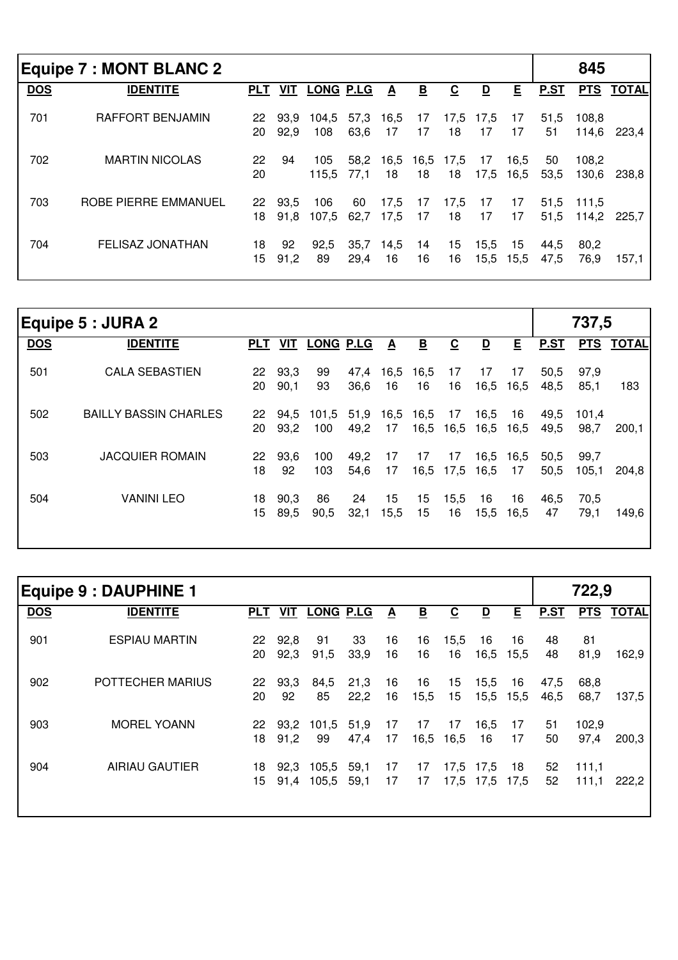|            | Equipe 7 : MONT BLANC 2 |            |              |                  |              |                         |          |                          |                 |              |              | 845            |              |
|------------|-------------------------|------------|--------------|------------------|--------------|-------------------------|----------|--------------------------|-----------------|--------------|--------------|----------------|--------------|
| <b>DOS</b> | <b>IDENTITE</b>         | <b>PLT</b> | VIT          | <b>LONG P.LG</b> |              | $\overline{\mathbf{A}}$ | <u>B</u> | $\underline{\mathbf{c}}$ | <u>D</u>        | E            | P.ST         | <b>PTS</b>     | <b>TOTAL</b> |
| 701        | <b>RAFFORT BENJAMIN</b> | 22<br>20   | 93.9<br>92,9 | 104.5<br>108     | 57,3<br>63,6 | 16,5<br>17              | 17<br>17 | 18                       | 17,5 17,5<br>17 | 17<br>17     | 51,5<br>51   | 108.8<br>114,6 | 223.4        |
| 702        | <b>MARTIN NICOLAS</b>   | 22<br>20   | 94           | 105<br>115.5     | 58,2<br>77.1 | 16,5<br>18              | 18       | 16,5 17,5<br>18          | 17<br>17,5      | 16,5<br>16,5 | 50<br>53,5   | 108.2<br>130,6 | 238.8        |
| 703        | ROBE PIERRE EMMANUEL    | 22<br>18   | 93.5<br>91.8 | 106<br>107.5     | 60<br>62,7   | 17,5<br>17,5            | 17<br>17 | 17,5<br>18               | -17<br>17       | 17<br>17     | 51,5<br>51,5 | 111.5<br>114.2 | 225.7        |
| 704        | <b>FELISAZ JONATHAN</b> | 18<br>15   | 92<br>91,2   | 92.5<br>89       | 35,7<br>29,4 | 14,5<br>16              | 14<br>16 | 15<br>16                 | 15,5<br>15,5    | 15<br>15,5   | 44,5<br>47,5 | 80,2<br>76,9   | 157,1        |

|            | Equipe 5 : JURA 2            |            |              |                  |              |            |                         |                          |                         |                 |              | 737,5         |              |
|------------|------------------------------|------------|--------------|------------------|--------------|------------|-------------------------|--------------------------|-------------------------|-----------------|--------------|---------------|--------------|
| <b>DOS</b> | <b>IDENTITE</b>              | <b>PLT</b> | VIT          | <b>LONG P.LG</b> |              | $\Delta$   | $\overline{\mathbf{B}}$ | $\underline{\mathbf{C}}$ | $\overline{\mathsf{D}}$ | E               | P.ST         | <b>PTS</b>    | <b>TOTAL</b> |
| 501        | <b>CALA SEBASTIEN</b>        | 22<br>20   | 93,3<br>90,1 | 99<br>93         | 47,4<br>36,6 | 16,5<br>16 | 16,5<br>16              | 17<br>16                 | -17<br>16,5             | 17<br>16,5      | 50,5<br>48,5 | 97,9<br>85,1  | 183          |
| 502        | <b>BAILLY BASSIN CHARLES</b> | 22<br>20   | 94,5<br>93,2 | 101,5<br>100     | 51,9<br>49,2 | 16,5<br>17 | 16,5<br>16,5            | 17<br>16,5               | 16,5<br>16,5            | 16<br>16,5      | 49,5<br>49,5 | 101.4<br>98,7 | 200.1        |
| 503        | <b>JACQUIER ROMAIN</b>       | 22<br>18   | 93,6<br>92   | 100<br>103       | 49,2<br>54,6 | 17<br>17   | 17<br>16,5              | 17<br>17,5               | 16,5                    | 16,5 16,5<br>17 | 50,5<br>50,5 | 99,7<br>105,1 | 204,8        |
| 504        | <b>VANINI LEO</b>            | 18<br>15   | 90,3<br>89,5 | 86<br>90,5       | 24<br>32,1   | 15<br>15,5 | 15<br>15                | 15,5<br>16               | 16<br>15,5              | 16<br>16,5      | 46,5<br>47   | 70,5<br>79,1  | 149,6        |

|            | <b>Equipe 9 : DAUPHINE 1</b> |            |              |                |              |          |                          |            |                   |            |              | 722,9          |              |
|------------|------------------------------|------------|--------------|----------------|--------------|----------|--------------------------|------------|-------------------|------------|--------------|----------------|--------------|
| <b>DOS</b> | <b>IDENTITE</b>              | <b>PLT</b> | VIT          | LONG P.LG      |              | <u>A</u> | $\underline{\mathsf{B}}$ | <u>ତ</u>   | <u>D</u>          | E          | P.ST         | <b>PTS</b>     | <b>TOTAL</b> |
| 901        | <b>ESPIAU MARTIN</b>         | 22<br>20   | 92,8<br>92,3 | 91<br>91,5     | 33<br>33,9   | 16<br>16 | 16<br>16                 | 15,5<br>16 | 16<br>16,5        | 16<br>15,5 | 48<br>48     | 81<br>81,9     | 162,9        |
| 902        | POTTECHER MARIUS             | 22<br>20   | 93,3<br>92   | 84,5<br>85     | 21,3<br>22,2 | 16<br>16 | 16<br>15,5               | 15<br>15   | 15,5<br>15,5      | 16<br>15,5 | 47,5<br>46,5 | 68,8<br>68,7   | 137,5        |
| 903        | <b>MOREL YOANN</b>           | 22<br>18   | 93.2<br>91,2 | 101,5<br>99    | 51,9<br>47,4 | 17<br>17 | 17<br>16,5               | 17<br>16,5 | 16,5<br>16        | 17<br>17   | 51<br>50     | 102,9<br>97,4  | 200,3        |
| 904        | <b>AIRIAU GAUTIER</b>        | 18<br>15   | 92,3<br>91,4 | 105,5<br>105,5 | 59,1<br>59,1 | 17<br>17 | 17<br>17                 | 17,5       | 17,5 17,5<br>17,5 | 18<br>17,5 | 52<br>52     | 111,1<br>111,1 | 222,2        |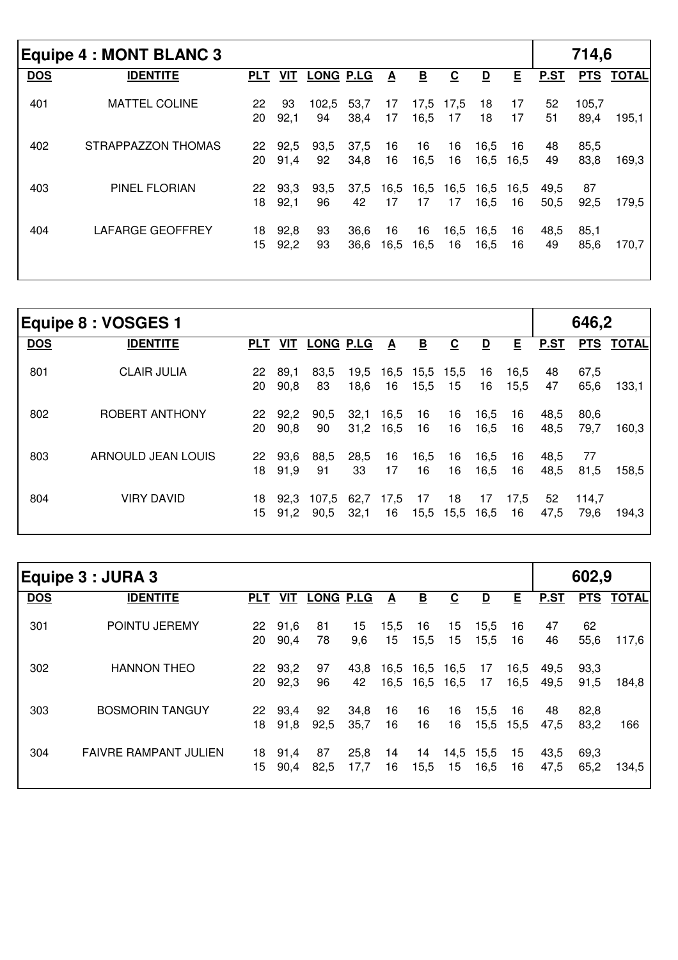|            | <b>Equipe 4 : MONT BLANC 3</b> |            |              |             |              |                          |                          |                          |                         |                 |              | 714,6         |           |
|------------|--------------------------------|------------|--------------|-------------|--------------|--------------------------|--------------------------|--------------------------|-------------------------|-----------------|--------------|---------------|-----------|
| <b>DOS</b> | <b>IDENTITE</b>                | <b>PLT</b> | VIT          | LONG P.LG   |              | $\underline{\mathbf{A}}$ | $\underline{\mathbf{B}}$ | $\underline{\mathbf{c}}$ | $\overline{\mathsf{D}}$ | E               | P.ST         |               | PTS TOTAL |
| 401        | <b>MATTEL COLINE</b>           | 22<br>20   | 93<br>92,1   | 102,5<br>94 | 53,7<br>38,4 | 17<br>17                 | 16,5                     | 17,5 17,5<br>17          | 18<br>18                | 17<br>17        | 52<br>51     | 105,7<br>89,4 | 195,1     |
| 402        | STRAPPAZZON THOMAS             | 22<br>20   | 92,5<br>91,4 | 93,5<br>92  | 37,5<br>34,8 | 16<br>16                 | 16<br>16,5               | 16<br>16                 | 16,5<br>16,5            | 16<br>16,5      | 48<br>49     | 85,5<br>83,8  | 169,3     |
| 403        | <b>PINEL FLORIAN</b>           | 22<br>18   | 93,3<br>92,1 | 93,5<br>96  | 37,5<br>42   | 16,5<br>17               | 16,5<br>17               | 16,5<br>17               | 16,5                    | 16,5 16,5<br>16 | 49,5<br>50,5 | 87<br>92,5    | 179,5     |
| 404        | <b>LAFARGE GEOFFREY</b>        | 18<br>15   | 92,8<br>92,2 | 93<br>93    | 36,6<br>36,6 | 16<br>16,5               | 16<br>16,5               | 16,5<br>16               | 16,5<br>16,5            | 16<br>16        | 48,5<br>49   | 85,1<br>85,6  | 170,7     |

|            | Equipe 8 : VOSGES 1 |                       |              |                  |              |              |                         |            |              |              |              | 646,2         |           |
|------------|---------------------|-----------------------|--------------|------------------|--------------|--------------|-------------------------|------------|--------------|--------------|--------------|---------------|-----------|
| <b>DOS</b> | <b>IDENTITE</b>     | <u>PLT</u>            | <b>VIT</b>   | <b>LONG P.LG</b> |              | $\mathbf{A}$ | $\overline{\mathbf{B}}$ | <u>ତ</u>   | <u>D</u>     | E            | P.ST         |               | PTS TOTAL |
| 801        | <b>CLAIR JULIA</b>  | 22<br>20              | 89,1<br>90,8 | 83,5<br>83       | 19,5<br>18,6 | 16,5<br>16   | 15,5 15,5<br>15,5       | 15         | 16<br>16     | 16,5<br>15,5 | 48<br>47     | 67,5<br>65,6  | 133,1     |
| 802        | ROBERT ANTHONY      | 22 <sub>2</sub><br>20 | 92,2<br>90,8 | 90,5<br>90       | 32,1<br>31,2 | 16,5<br>16,5 | 16<br>16                | 16<br>16   | 16,5<br>16,5 | 16<br>16     | 48,5<br>48,5 | 80,6<br>79,7  | 160,3     |
| 803        | ARNOULD JEAN LOUIS  | 22<br>18              | 93,6<br>91,9 | 88,5<br>91       | 28,5<br>33   | 16<br>17     | 16,5<br>16              | 16<br>16   | 16,5<br>16,5 | 16<br>16     | 48,5<br>48,5 | 77<br>81,5    | 158,5     |
| 804        | <b>VIRY DAVID</b>   | 18<br>15.             | 92.3<br>91,2 | 107.5<br>90,5    | 62,7<br>32,1 | 17,5<br>16   | 17<br>15,5              | 18<br>15,5 | 17<br>16,5   | 17,5<br>16   | 52<br>47,5   | 114,7<br>79,6 | 194,3     |

|                         | Equipe 3 : JURA 3            |                       |              |                  |              |              |            |                   |              |                 |              | 602,9        |              |
|-------------------------|------------------------------|-----------------------|--------------|------------------|--------------|--------------|------------|-------------------|--------------|-----------------|--------------|--------------|--------------|
| $\overline{\text{DOS}}$ | <b>IDENTITE</b>              | <b>PLT</b>            | VIT          | <b>LONG P.LG</b> |              | <u>A</u>     | <u>B</u>   | <u>ତ</u>          | <u>D</u>     | E               | P.ST         | <b>PTS</b>   | <b>TOTAL</b> |
| 301                     | POINTU JEREMY                | 22<br>20              | 91,6<br>90,4 | 81<br>78         | 15<br>9,6    | 15,5<br>15   | 16<br>15,5 | 15<br>15          | 15,5<br>15,5 | 16<br>16        | 47<br>46     | 62<br>55,6   | 117,6        |
| 302                     | <b>HANNON THEO</b>           | 22<br>20              | 93,2<br>92,3 | 97<br>96         | 43.8<br>42   | 16,5<br>16,5 | 16,5       | 16,5 16,5<br>16,5 | 17<br>17     | 16,5<br>16,5    | 49,5<br>49,5 | 93,3<br>91,5 | 184,8        |
| 303                     | <b>BOSMORIN TANGUY</b>       | 22<br>18              | 93,4<br>91,8 | 92<br>92,5       | 34,8<br>35,7 | 16<br>16     | 16<br>16   | 16<br>16          | 15,5         | 16<br>15,5 15,5 | 48<br>47,5   | 82,8<br>83,2 | 166          |
| 304                     | <b>FAIVRE RAMPANT JULIEN</b> | 18<br>15 <sub>1</sub> | 91,4<br>90,4 | 87<br>82,5       | 25,8<br>17,7 | 14<br>16     | 14<br>15,5 | 14,5<br>15        | 15,5<br>16,5 | 15<br>16        | 43,5<br>47,5 | 69,3<br>65,2 | 134,5        |